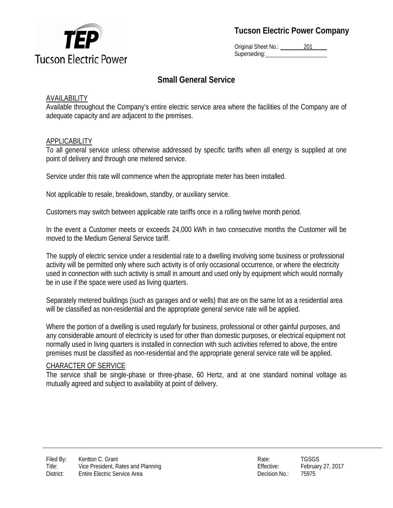

**Tucson Electric Power Company**

Original Sheet No.: 201 Superseding:

# **Small General Service**

## AVAILABILITY

Available throughout the Company's entire electric service area where the facilities of the Company are of adequate capacity and are adjacent to the premises.

#### APPLICABILITY

To all general service unless otherwise addressed by specific tariffs when all energy is supplied at one point of delivery and through one metered service.

Service under this rate will commence when the appropriate meter has been installed.

Not applicable to resale, breakdown, standby, or auxiliary service.

Customers may switch between applicable rate tariffs once in a rolling twelve month period.

In the event a Customer meets or exceeds 24,000 kWh in two consecutive months the Customer will be moved to the Medium General Service tariff.

The supply of electric service under a residential rate to a dwelling involving some business or professional activity will be permitted only where such activity is of only occasional occurrence, or where the electricity used in connection with such activity is small in amount and used only by equipment which would normally be in use if the space were used as living quarters.

Separately metered buildings (such as garages and or wells) that are on the same lot as a residential area will be classified as non-residential and the appropriate general service rate will be applied.

Where the portion of a dwelling is used regularly for business, professional or other gainful purposes, and any considerable amount of electricity is used for other than domestic purposes, or electrical equipment not normally used in living quarters is installed in connection with such activities referred to above, the entire premises must be classified as non-residential and the appropriate general service rate will be applied.

#### CHARACTER OF SERVICE

The service shall be single-phase or three-phase, 60 Hertz, and at one standard nominal voltage as mutually agreed and subject to availability at point of delivery.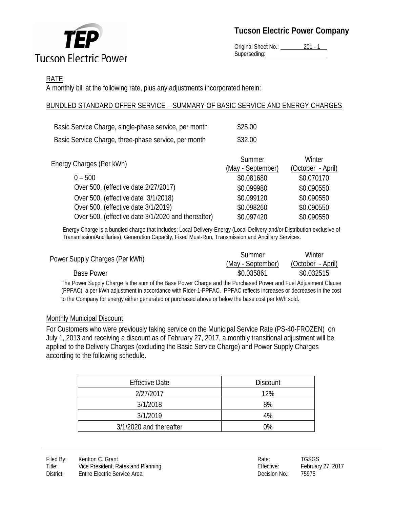

Original Sheet No.: 201 - 1 Superseding:

## RATE

A monthly bill at the following rate, plus any adjustments incorporated herein:

## BUNDLED STANDARD OFFER SERVICE – SUMMARY OF BASIC SERVICE AND ENERGY CHARGES

| Basic Service Charge, single-phase service, per month | \$25.00 |
|-------------------------------------------------------|---------|
| Basic Service Charge, three-phase service, per month  | \$32.00 |

|                                                    | Summer            | Winter            |
|----------------------------------------------------|-------------------|-------------------|
| Energy Charges (Per kWh)                           | (May - September) | (October - April) |
| $0 - 500$                                          | \$0.081680        | \$0.070170        |
| Over 500, (effective date 2/27/2017)               | \$0.099980        | \$0.090550        |
| Over 500, (effective date 3/1/2018)                | \$0.099120        | \$0.090550        |
| Over 500, (effective date 3/1/2019)                | \$0.098260        | \$0.090550        |
| Over 500, (effective date 3/1/2020 and thereafter) | \$0.097420        | \$0.090550        |

Energy Charge is a bundled charge that includes: Local Delivery-Energy (Local Delivery and/or Distribution exclusive of Transmission/Ancillaries), Generation Capacity, Fixed Must-Run, Transmission and Ancillary Services.

|                                | Summer            | Winter            |
|--------------------------------|-------------------|-------------------|
| Power Supply Charges (Per kWh) | (May - September) | (October - April) |
| <b>Base Power</b>              | \$0.035861        | \$0.032515        |
|                                |                   |                   |

The Power Supply Charge is the sum of the Base Power Charge and the Purchased Power and Fuel Adjustment Clause (PPFAC), a per kWh adjustment in accordance with Rider-1-PPFAC. PPFAC reflects increases or decreases in the cost to the Company for energy either generated or purchased above or below the base cost per kWh sold.

### Monthly Municipal Discount

For Customers who were previously taking service on the Municipal Service Rate (PS-40-FROZEN) on July 1, 2013 and receiving a discount as of February 27, 2017, a monthly transitional adjustment will be applied to the Delivery Charges (excluding the Basic Service Charge) and Power Supply Charges according to the following schedule.

| <b>Effective Date</b>   | <b>Discount</b> |
|-------------------------|-----------------|
| 2/27/2017               | 12%             |
| 3/1/2018                | 8%              |
| 3/1/2019                | 4%              |
| 3/1/2020 and thereafter | 0%              |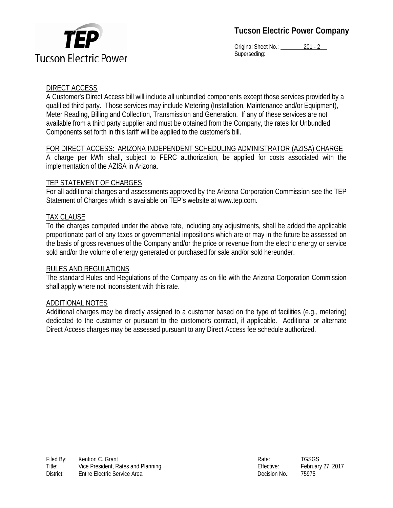



Original Sheet No.: 201 - 2 Superseding:

#### DIRECT ACCESS

A Customer's Direct Access bill will include all unbundled components except those services provided by a qualified third party. Those services may include Metering (Installation, Maintenance and/or Equipment), Meter Reading, Billing and Collection, Transmission and Generation. If any of these services are not available from a third party supplier and must be obtained from the Company, the rates for Unbundled Components set forth in this tariff will be applied to the customer's bill.

#### FOR DIRECT ACCESS: ARIZONA INDEPENDENT SCHEDULING ADMINISTRATOR (AZISA) CHARGE

A charge per kWh shall, subject to FERC authorization, be applied for costs associated with the implementation of the AZISA in Arizona.

#### TEP STATEMENT OF CHARGES

For all additional charges and assessments approved by the Arizona Corporation Commission see the TEP Statement of Charges which is available on TEP's website at www.tep.com.

#### TAX CLAUSE

To the charges computed under the above rate, including any adjustments, shall be added the applicable proportionate part of any taxes or governmental impositions which are or may in the future be assessed on the basis of gross revenues of the Company and/or the price or revenue from the electric energy or service sold and/or the volume of energy generated or purchased for sale and/or sold hereunder.

#### RULES AND REGULATIONS

The standard Rules and Regulations of the Company as on file with the Arizona Corporation Commission shall apply where not inconsistent with this rate.

#### ADDITIONAL NOTES

Additional charges may be directly assigned to a customer based on the type of facilities (e.g., metering) dedicated to the customer or pursuant to the customer's contract, if applicable. Additional or alternate Direct Access charges may be assessed pursuant to any Direct Access fee schedule authorized.